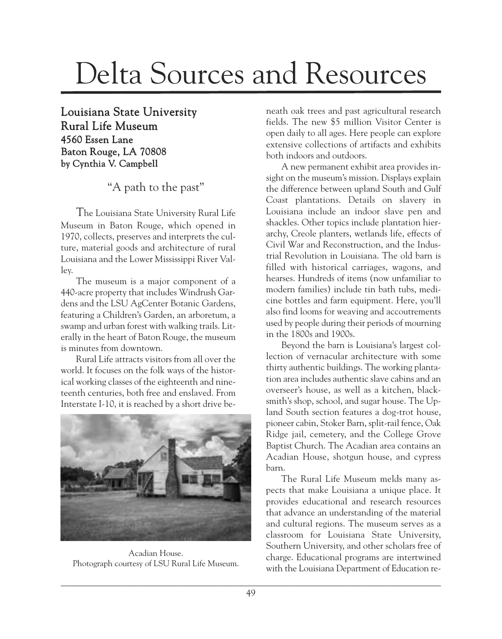## Delta Sources and Resources

Louisiana State University Rural Life Museum 4560 Essen Lane Baton Rouge, LA 70808 by Cynthia V. Campbell

"A path to the past"

The Louisiana State University Rural Life Museum in Baton Rouge, which opened in 1970, collects, preserves and interprets the culture, material goods and architecture of rural Louisiana and the Lower Mississippi River Valley.

The museum is a major component of a 440-acre property that includes Windrush Gardens and the LSU AgCenter Botanic Gardens, featuring a Children's Garden, an arboretum, a swamp and urban forest with walking trails. Literally in the heart of Baton Rouge, the museum is minutes from downtown.

Rural Life attracts visitors from all over the world. It focuses on the folk ways of the historical working classes of the eighteenth and nineteenth centuries, both free and enslaved. From Interstate I-10, it is reached by a short drive be-



Acadian House. Photograph courtesy of LSU Rural Life Museum.

neath oak trees and past agricultural research fields. The new \$5 million Visitor Center is open daily to all ages. Here people can explore extensive collections of artifacts and exhibits both indoors and outdoors.

A new permanent exhibit area provides insight on the museum's mission. Displays explain the difference between upland South and Gulf Coast plantations. Details on slavery in Louisiana include an indoor slave pen and shackles. Other topics include plantation hierarchy, Creole planters, wetlands life, effects of Civil War and Reconstruction, and the Industrial Revolution in Louisiana. The old barn is filled with historical carriages, wagons, and hearses. Hundreds of items (now unfamiliar to modern families) include tin bath tubs, medicine bottles and farm equipment. Here, you'll also find looms for weaving and accoutrements used by people during their periods of mourning in the 1800s and 1900s.

Beyond the barn is Louisiana's largest collection of vernacular architecture with some thirty authentic buildings. The working plantation area includes authentic slave cabins and an overseer's house, as well as a kitchen, blacksmith's shop, school, and sugar house. The Upland South section features a dog-trot house, pioneer cabin, Stoker Barn, split-rail fence, Oak Ridge jail, cemetery, and the College Grove Baptist Church. The Acadian area contains an Acadian House, shotgun house, and cypress barn.

The Rural Life Museum melds many aspects that make Louisiana a unique place. It provides educational and research resources that advance an understanding of the material and cultural regions. The museum serves as a classroom for Louisiana State University, Southern University, and other scholars free of charge. Educational programs are intertwined with the Louisiana Department of Education re-